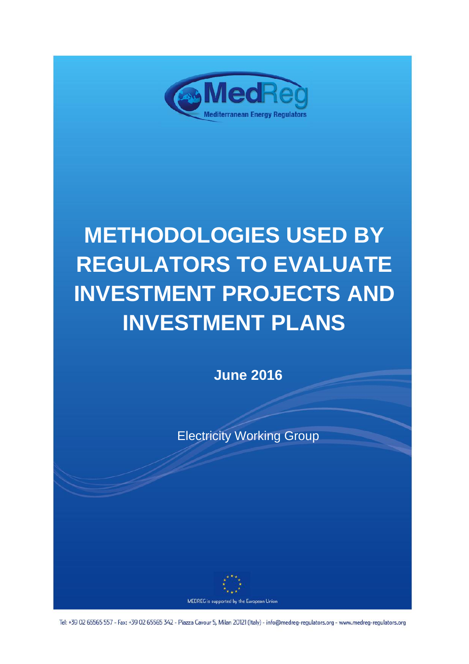

# **METHODOLOGIES USED BY REGULATORS TO EVALUATE INVESTMENT PROJECTS AND INVESTMENT PLANS**

**June 2016**

Electricity Working Group



MEDREG is supported by the European Union

Tel: +39 02 65565 557 - Fax: +39 02 65565 342 - Piazza Cavour 5, Milan 20121 (Italy) - info@medreg-regulators.org - www.medreg-regulators.org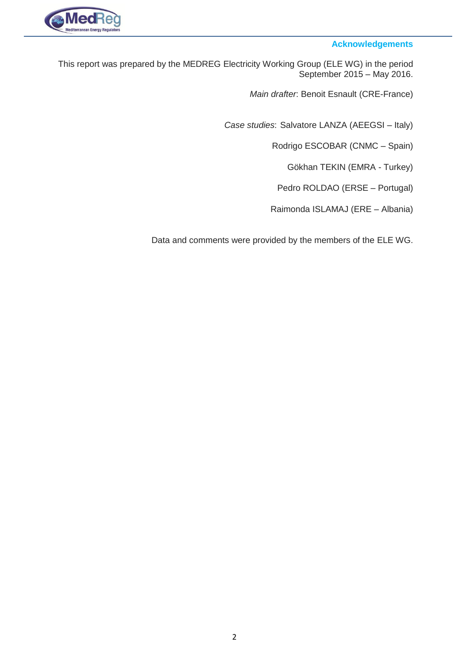

#### **Acknowledgements**

- This report was prepared by the MEDREG Electricity Working Group (ELE WG) in the period September 2015 – May 2016.
	- *Main drafter*: Benoit Esnault (CRE-France)
	- *Case studies*: Salvatore LANZA (AEEGSI Italy)
		- Rodrigo ESCOBAR (CNMC Spain)
			- Gökhan TEKIN (EMRA Turkey)
		- Pedro ROLDAO (ERSE Portugal)
		- Raimonda ISLAMAJ (ERE Albania)
	- Data and comments were provided by the members of the ELE WG.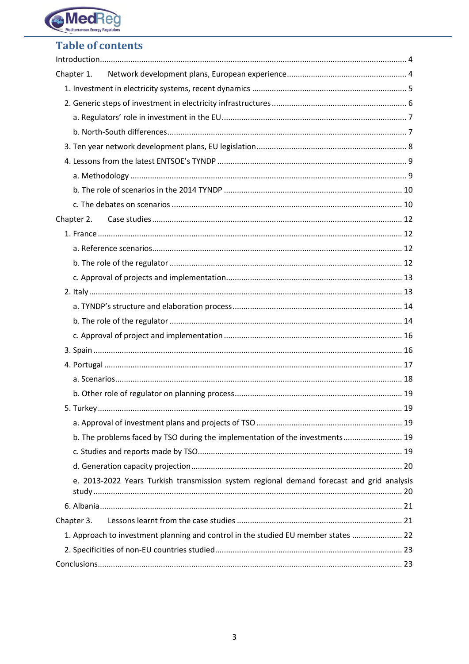

# **Table of contents**

| Chapter 1.                                                                                |    |
|-------------------------------------------------------------------------------------------|----|
|                                                                                           |    |
|                                                                                           |    |
|                                                                                           |    |
|                                                                                           |    |
|                                                                                           |    |
|                                                                                           |    |
|                                                                                           |    |
|                                                                                           |    |
|                                                                                           |    |
|                                                                                           |    |
|                                                                                           |    |
|                                                                                           |    |
|                                                                                           |    |
|                                                                                           |    |
|                                                                                           |    |
|                                                                                           |    |
|                                                                                           |    |
|                                                                                           |    |
|                                                                                           |    |
|                                                                                           |    |
|                                                                                           |    |
|                                                                                           |    |
|                                                                                           | 19 |
|                                                                                           |    |
| b. The problems faced by TSO during the implementation of the investments 19              |    |
|                                                                                           |    |
|                                                                                           |    |
| e. 2013-2022 Years Turkish transmission system regional demand forecast and grid analysis |    |
|                                                                                           |    |
| Chapter 3.                                                                                |    |
| 1. Approach to investment planning and control in the studied EU member states  22        |    |
|                                                                                           |    |
|                                                                                           |    |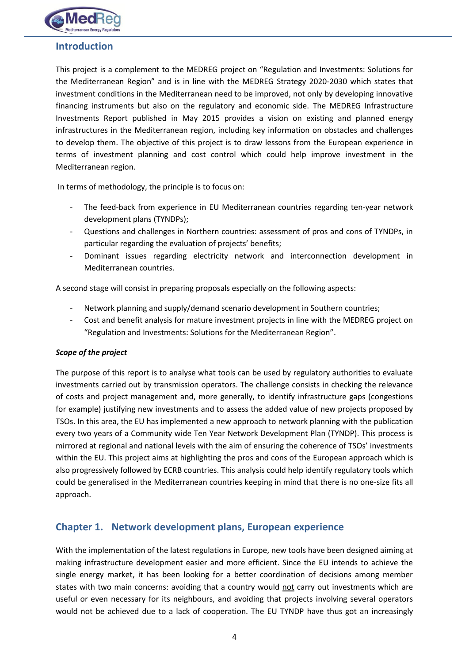

# <span id="page-3-0"></span>**Introduction**

This project is a complement to the MEDREG project on "Regulation and Investments: Solutions for the Mediterranean Region" and is in line with the MEDREG Strategy 2020-2030 which states that investment conditions in the Mediterranean need to be improved, not only by developing innovative financing instruments but also on the regulatory and economic side. The MEDREG Infrastructure Investments Report published in May 2015 provides a vision on existing and planned energy infrastructures in the Mediterranean region, including key information on obstacles and challenges to develop them. The objective of this project is to draw lessons from the European experience in terms of investment planning and cost control which could help improve investment in the Mediterranean region.

In terms of methodology, the principle is to focus on:

- The feed-back from experience in EU Mediterranean countries regarding ten-year network development plans (TYNDPs);
- Questions and challenges in Northern countries: assessment of pros and cons of TYNDPs, in particular regarding the evaluation of projects' benefits;
- Dominant issues regarding electricity network and interconnection development in Mediterranean countries.

A second stage will consist in preparing proposals especially on the following aspects:

- Network planning and supply/demand scenario development in Southern countries;
- Cost and benefit analysis for mature investment projects in line with the MEDREG project on "Regulation and Investments: Solutions for the Mediterranean Region".

#### *Scope of the project*

The purpose of this report is to analyse what tools can be used by regulatory authorities to evaluate investments carried out by transmission operators. The challenge consists in checking the relevance of costs and project management and, more generally, to identify infrastructure gaps (congestions for example) justifying new investments and to assess the added value of new projects proposed by TSOs. In this area, the EU has implemented a new approach to network planning with the publication every two years of a Community wide Ten Year Network Development Plan (TYNDP). This process is mirrored at regional and national levels with the aim of ensuring the coherence of TSOs' investments within the EU. This project aims at highlighting the pros and cons of the European approach which is also progressively followed by ECRB countries. This analysis could help identify regulatory tools which could be generalised in the Mediterranean countries keeping in mind that there is no one-size fits all approach.

## <span id="page-3-1"></span>**Chapter 1. Network development plans, European experience**

With the implementation of the latest regulations in Europe, new tools have been designed aiming at making infrastructure development easier and more efficient. Since the EU intends to achieve the single energy market, it has been looking for a better coordination of decisions among member states with two main concerns: avoiding that a country would not carry out investments which are useful or even necessary for its neighbours, and avoiding that projects involving several operators would not be achieved due to a lack of cooperation. The EU TYNDP have thus got an increasingly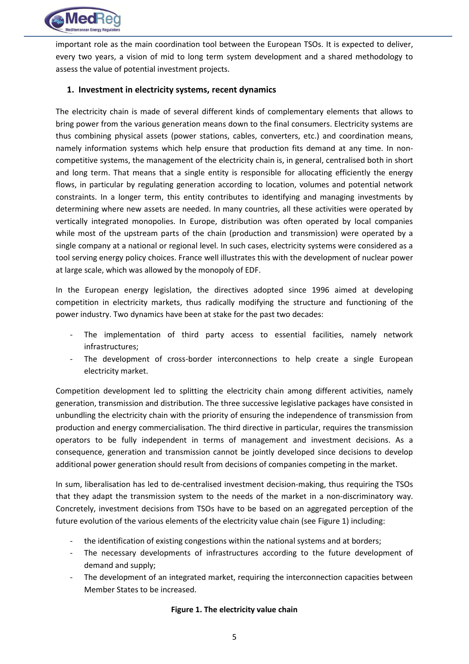

important role as the main coordination tool between the European TSOs. It is expected to deliver, every two years, a vision of mid to long term system development and a shared methodology to assess the value of potential investment projects.

#### <span id="page-4-0"></span>**1. Investment in electricity systems, recent dynamics**

The electricity chain is made of several different kinds of complementary elements that allows to bring power from the various generation means down to the final consumers. Electricity systems are thus combining physical assets (power stations, cables, converters, etc.) and coordination means, namely information systems which help ensure that production fits demand at any time. In noncompetitive systems, the management of the electricity chain is, in general, centralised both in short and long term. That means that a single entity is responsible for allocating efficiently the energy flows, in particular by regulating generation according to location, volumes and potential network constraints. In a longer term, this entity contributes to identifying and managing investments by determining where new assets are needed. In many countries, all these activities were operated by vertically integrated monopolies. In Europe, distribution was often operated by local companies while most of the upstream parts of the chain (production and transmission) were operated by a single company at a national or regional level. In such cases, electricity systems were considered as a tool serving energy policy choices. France well illustrates this with the development of nuclear power at large scale, which was allowed by the monopoly of EDF.

In the European energy legislation, the directives adopted since 1996 aimed at developing competition in electricity markets, thus radically modifying the structure and functioning of the power industry. Two dynamics have been at stake for the past two decades:

- The implementation of third party access to essential facilities, namely network infrastructures;
- The development of cross-border interconnections to help create a single European electricity market.

Competition development led to splitting the electricity chain among different activities, namely generation, transmission and distribution. The three successive legislative packages have consisted in unbundling the electricity chain with the priority of ensuring the independence of transmission from production and energy commercialisation. The third directive in particular, requires the transmission operators to be fully independent in terms of management and investment decisions. As a consequence, generation and transmission cannot be jointly developed since decisions to develop additional power generation should result from decisions of companies competing in the market.

In sum, liberalisation has led to de-centralised investment decision-making, thus requiring the TSOs that they adapt the transmission system to the needs of the market in a non-discriminatory way. Concretely, investment decisions from TSOs have to be based on an aggregated perception of the future evolution of the various elements of the electricity value chain (se[e Figure 1\)](#page-4-1) including:

- the identification of existing congestions within the national systems and at borders;
- The necessary developments of infrastructures according to the future development of demand and supply;
- <span id="page-4-1"></span>The development of an integrated market, requiring the interconnection capacities between Member States to be increased.

#### **Figure 1. The electricity value chain**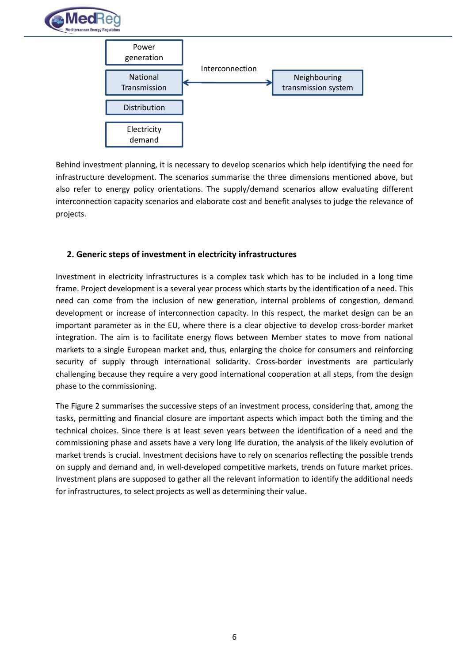



Behind investment planning, it is necessary to develop scenarios which help identifying the need for infrastructure development. The scenarios summarise the three dimensions mentioned above, but also refer to energy policy orientations. The supply/demand scenarios allow evaluating different interconnection capacity scenarios and elaborate cost and benefit analyses to judge the relevance of projects.

#### <span id="page-5-0"></span>**2. Generic steps of investment in electricity infrastructures**

Investment in electricity infrastructures is a complex task which has to be included in a long time frame. Project development is a several year process which starts by the identification of a need. This need can come from the inclusion of new generation, internal problems of congestion, demand development or increase of interconnection capacity. In this respect, the market design can be an important parameter as in the EU, where there is a clear objective to develop cross-border market integration. The aim is to facilitate energy flows between Member states to move from national markets to a single European market and, thus, enlarging the choice for consumers and reinforcing security of supply through international solidarity. Cross-border investments are particularly challenging because they require a very good international cooperation at all steps, from the design phase to the commissioning.

The [Figure 2](#page-6-2) summarises the successive steps of an investment process, considering that, among the tasks, permitting and financial closure are important aspects which impact both the timing and the technical choices. Since there is at least seven years between the identification of a need and the commissioning phase and assets have a very long life duration, the analysis of the likely evolution of market trends is crucial. Investment decisions have to rely on scenarios reflecting the possible trends on supply and demand and, in well-developed competitive markets, trends on future market prices. Investment plans are supposed to gather all the relevant information to identify the additional needs for infrastructures, to select projects as well as determining their value.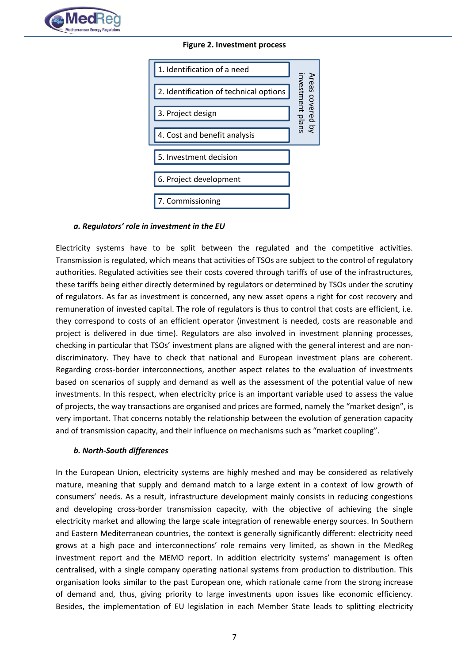<span id="page-6-2"></span>

**Figure 2. Investment process**



#### <span id="page-6-0"></span>*a. Regulators' role in investment in the EU*

Electricity systems have to be split between the regulated and the competitive activities. Transmission is regulated, which means that activities of TSOs are subject to the control of regulatory authorities. Regulated activities see their costs covered through tariffs of use of the infrastructures, these tariffs being either directly determined by regulators or determined by TSOs under the scrutiny of regulators. As far as investment is concerned, any new asset opens a right for cost recovery and remuneration of invested capital. The role of regulators is thus to control that costs are efficient, i.e. they correspond to costs of an efficient operator (investment is needed, costs are reasonable and project is delivered in due time). Regulators are also involved in investment planning processes, checking in particular that TSOs' investment plans are aligned with the general interest and are nondiscriminatory. They have to check that national and European investment plans are coherent. Regarding cross-border interconnections, another aspect relates to the evaluation of investments based on scenarios of supply and demand as well as the assessment of the potential value of new investments. In this respect, when electricity price is an important variable used to assess the value of projects, the way transactions are organised and prices are formed, namely the "market design", is very important. That concerns notably the relationship between the evolution of generation capacity and of transmission capacity, and their influence on mechanisms such as "market coupling".

#### <span id="page-6-1"></span>*b. North-South differences*

In the European Union, electricity systems are highly meshed and may be considered as relatively mature, meaning that supply and demand match to a large extent in a context of low growth of consumers' needs. As a result, infrastructure development mainly consists in reducing congestions and developing cross-border transmission capacity, with the objective of achieving the single electricity market and allowing the large scale integration of renewable energy sources. In Southern and Eastern Mediterranean countries, the context is generally significantly different: electricity need grows at a high pace and interconnections' role remains very limited, as shown in the MedReg investment report and the MEMO report. In addition electricity systems' management is often centralised, with a single company operating national systems from production to distribution. This organisation looks similar to the past European one, which rationale came from the strong increase of demand and, thus, giving priority to large investments upon issues like economic efficiency. Besides, the implementation of EU legislation in each Member State leads to splitting electricity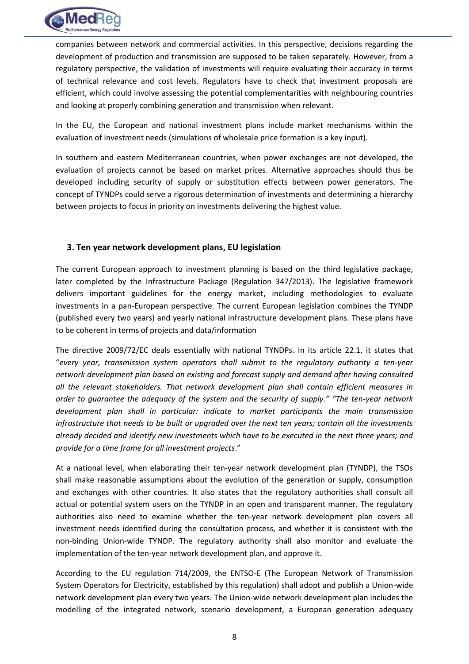

companies between network and commercial activities. In this perspective, decisions regarding the development of production and transmission are supposed to be taken separately. However, from a regulatory perspective, the validation of investments will require evaluating their accuracy in terms of technical relevance and cost levels. Regulators have to check that investment proposals are efficient, which could involve assessing the potential complementarities with neighbouring countries and looking at properly combining generation and transmission when relevant.

In the EU, the European and national investment plans include market mechanisms within the evaluation of investment needs (simulations of wholesale price formation is a key input).

In southern and eastern Mediterranean countries, when power exchanges are not developed, the evaluation of projects cannot be based on market prices. Alternative approaches should thus be developed including security of supply or substitution effects between power generators. The concept of TYNDPs could serve a rigorous determination of investments and determining a hierarchy between projects to focus in priority on investments delivering the highest value.

#### <span id="page-7-0"></span>**3. Ten year network development plans, EU legislation**

The current European approach to investment planning is based on the third legislative package, later completed by the Infrastructure Package (Regulation 347/2013). The legislative framework delivers important guidelines for the energy market, including methodologies to evaluate investments in a pan-European perspective. The current European legislation combines the TYNDP (published every two years) and yearly national infrastructure development plans. These plans have to be coherent in terms of projects and data/information

The directive 2009/72/EC deals essentially with national TYNDPs. In its article 22.1, it states that "*every year, transmission system operators shall submit to the regulatory authority a ten-year network development plan based on existing and forecast supply and demand after having consulted all the relevant stakeholders. That network development plan shall contain efficient measures in order to guarantee the adequacy of the system and the security of supply." "The ten-year network development plan shall in particular: indicate to market participants the main transmission infrastructure that needs to be built or upgraded over the next ten years; contain all the investments already decided and identify new investments which have to be executed in the next three years; and provide for a time frame for all investment projects*."

At a national level, when elaborating their ten-year network development plan (TYNDP), the TSOs shall make reasonable assumptions about the evolution of the generation or supply, consumption and exchanges with other countries. It also states that the regulatory authorities shall consult all actual or potential system users on the TYNDP in an open and transparent manner. The regulatory authorities also need to examine whether the ten-year network development plan covers all investment needs identified during the consultation process, and whether it is consistent with the non-binding Union-wide TYNDP. The regulatory authority shall also monitor and evaluate the implementation of the ten-year network development plan, and approve it.

According to the EU regulation 714/2009, the ENTSO-E (The European Network of Transmission System Operators for Electricity, established by this regulation) shall adopt and publish a Union-wide network development plan every two years. The Union-wide network development plan includes the modelling of the integrated network, scenario development, a European generation adequacy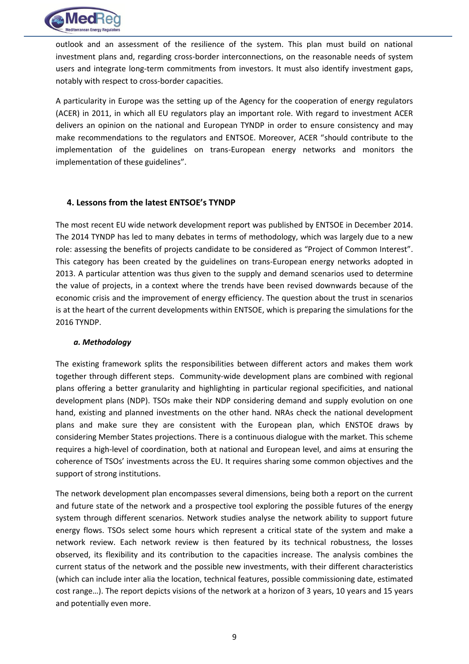

outlook and an assessment of the resilience of the system. This plan must build on national investment plans and, regarding cross-border interconnections, on the reasonable needs of system users and integrate long-term commitments from investors. It must also identify investment gaps, notably with respect to cross-border capacities.

A particularity in Europe was the setting up of the Agency for the cooperation of energy regulators (ACER) in 2011, in which all EU regulators play an important role. With regard to investment ACER delivers an opinion on the national and European TYNDP in order to ensure consistency and may make recommendations to the regulators and ENTSOE. Moreover, ACER "should contribute to the implementation of the guidelines on trans-European energy networks and monitors the implementation of these guidelines".

#### <span id="page-8-0"></span>**4. Lessons from the latest ENTSOE's TYNDP**

The most recent EU wide network development report was published by ENTSOE in December 2014. The 2014 TYNDP has led to many debates in terms of methodology, which was largely due to a new role: assessing the benefits of projects candidate to be considered as "Project of Common Interest". This category has been created by the guidelines on trans-European energy networks adopted in 2013. A particular attention was thus given to the supply and demand scenarios used to determine the value of projects, in a context where the trends have been revised downwards because of the economic crisis and the improvement of energy efficiency. The question about the trust in scenarios is at the heart of the current developments within ENTSOE, which is preparing the simulations for the 2016 TYNDP.

#### <span id="page-8-1"></span>*a. Methodology*

The existing framework splits the responsibilities between different actors and makes them work together through different steps. Community-wide development plans are combined with regional plans offering a better granularity and highlighting in particular regional specificities, and national development plans (NDP). TSOs make their NDP considering demand and supply evolution on one hand, existing and planned investments on the other hand. NRAs check the national development plans and make sure they are consistent with the European plan, which ENSTOE draws by considering Member States projections. There is a continuous dialogue with the market. This scheme requires a high-level of coordination, both at national and European level, and aims at ensuring the coherence of TSOs' investments across the EU. It requires sharing some common objectives and the support of strong institutions.

The network development plan encompasses several dimensions, being both a report on the current and future state of the network and a prospective tool exploring the possible futures of the energy system through different scenarios. Network studies analyse the network ability to support future energy flows. TSOs select some hours which represent a critical state of the system and make a network review. Each network review is then featured by its technical robustness, the losses observed, its flexibility and its contribution to the capacities increase. The analysis combines the current status of the network and the possible new investments, with their different characteristics (which can include inter alia the location, technical features, possible commissioning date, estimated cost range…). The report depicts visions of the network at a horizon of 3 years, 10 years and 15 years and potentially even more.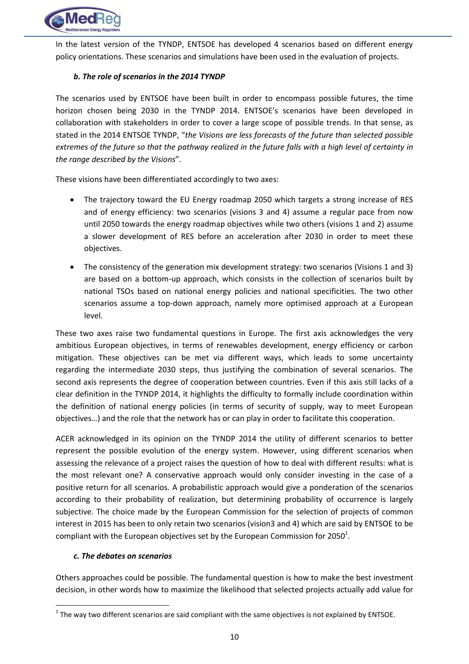

In the latest version of the TYNDP, ENTSOE has developed 4 scenarios based on different energy policy orientations. These scenarios and simulations have been used in the evaluation of projects.

#### <span id="page-9-0"></span>*b. The role of scenarios in the 2014 TYNDP*

The scenarios used by ENTSOE have been built in order to encompass possible futures, the time horizon chosen being 2030 in the TYNDP 2014. ENTSOE's scenarios have been developed in collaboration with stakeholders in order to cover a large scope of possible trends. In that sense, as stated in the 2014 ENTSOE TYNDP, "*the Visions are less forecasts of the future than selected possible extremes of the future so that the pathway realized in the future falls with a high level of certainty in the range described by the Visions*".

These visions have been differentiated accordingly to two axes:

- The trajectory toward the EU Energy roadmap 2050 which targets a strong increase of RES and of energy efficiency: two scenarios (visions 3 and 4) assume a regular pace from now until 2050 towards the energy roadmap objectives while two others (visions 1 and 2) assume a slower development of RES before an acceleration after 2030 in order to meet these objectives.
- The consistency of the generation mix development strategy: two scenarios (Visions 1 and 3) are based on a bottom-up approach, which consists in the collection of scenarios built by national TSOs based on national energy policies and national specificities. The two other scenarios assume a top-down approach, namely more optimised approach at a European level.

These two axes raise two fundamental questions in Europe. The first axis acknowledges the very ambitious European objectives, in terms of renewables development, energy efficiency or carbon mitigation. These objectives can be met via different ways, which leads to some uncertainty regarding the intermediate 2030 steps, thus justifying the combination of several scenarios. The second axis represents the degree of cooperation between countries. Even if this axis still lacks of a clear definition in the TYNDP 2014, it highlights the difficulty to formally include coordination within the definition of national energy policies (in terms of security of supply, way to meet European objectives…) and the role that the network has or can play in order to facilitate this cooperation.

ACER acknowledged in its opinion on the TYNDP 2014 the utility of different scenarios to better represent the possible evolution of the energy system. However, using different scenarios when assessing the relevance of a project raises the question of how to deal with different results: what is the most relevant one? A conservative approach would only consider investing in the case of a positive return for all scenarios. A probabilistic approach would give a ponderation of the scenarios according to their probability of realization, but determining probability of occurrence is largely subjective. The choice made by the European Commission for the selection of projects of common interest in 2015 has been to only retain two scenarios (vision3 and 4) which are said by ENTSOE to be compliant with the European objectives set by the European Commission for 2050<sup>1</sup>.

#### <span id="page-9-1"></span>*c. The debates on scenarios*

**.** 

Others approaches could be possible. The fundamental question is how to make the best investment decision, in other words how to maximize the likelihood that selected projects actually add value for

 $1$  The way two different scenarios are said compliant with the same objectives is not explained by ENTSOE.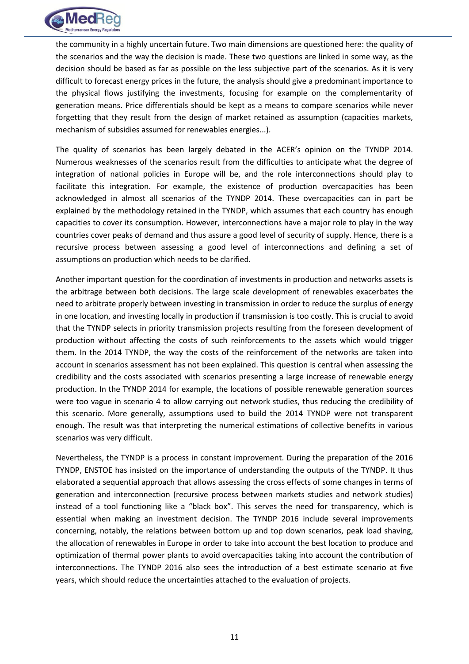

the community in a highly uncertain future. Two main dimensions are questioned here: the quality of the scenarios and the way the decision is made. These two questions are linked in some way, as the decision should be based as far as possible on the less subjective part of the scenarios. As it is very difficult to forecast energy prices in the future, the analysis should give a predominant importance to the physical flows justifying the investments, focusing for example on the complementarity of generation means. Price differentials should be kept as a means to compare scenarios while never forgetting that they result from the design of market retained as assumption (capacities markets, mechanism of subsidies assumed for renewables energies...).

The quality of scenarios has been largely debated in the ACER's opinion on the TYNDP 2014. Numerous weaknesses of the scenarios result from the difficulties to anticipate what the degree of integration of national policies in Europe will be, and the role interconnections should play to facilitate this integration. For example, the existence of production overcapacities has been acknowledged in almost all scenarios of the TYNDP 2014. These overcapacities can in part be explained by the methodology retained in the TYNDP, which assumes that each country has enough capacities to cover its consumption. However, interconnections have a major role to play in the way countries cover peaks of demand and thus assure a good level of security of supply. Hence, there is a recursive process between assessing a good level of interconnections and defining a set of assumptions on production which needs to be clarified.

Another important question for the coordination of investments in production and networks assets is the arbitrage between both decisions. The large scale development of renewables exacerbates the need to arbitrate properly between investing in transmission in order to reduce the surplus of energy in one location, and investing locally in production if transmission is too costly. This is crucial to avoid that the TYNDP selects in priority transmission projects resulting from the foreseen development of production without affecting the costs of such reinforcements to the assets which would trigger them. In the 2014 TYNDP, the way the costs of the reinforcement of the networks are taken into account in scenarios assessment has not been explained. This question is central when assessing the credibility and the costs associated with scenarios presenting a large increase of renewable energy production. In the TYNDP 2014 for example, the locations of possible renewable generation sources were too vague in scenario 4 to allow carrying out network studies, thus reducing the credibility of this scenario. More generally, assumptions used to build the 2014 TYNDP were not transparent enough. The result was that interpreting the numerical estimations of collective benefits in various scenarios was very difficult.

Nevertheless, the TYNDP is a process in constant improvement. During the preparation of the 2016 TYNDP, ENSTOE has insisted on the importance of understanding the outputs of the TYNDP. It thus elaborated a sequential approach that allows assessing the cross effects of some changes in terms of generation and interconnection (recursive process between markets studies and network studies) instead of a tool functioning like a "black box". This serves the need for transparency, which is essential when making an investment decision. The TYNDP 2016 include several improvements concerning, notably, the relations between bottom up and top down scenarios, peak load shaving, the allocation of renewables in Europe in order to take into account the best location to produce and optimization of thermal power plants to avoid overcapacities taking into account the contribution of interconnections. The TYNDP 2016 also sees the introduction of a best estimate scenario at five years, which should reduce the uncertainties attached to the evaluation of projects.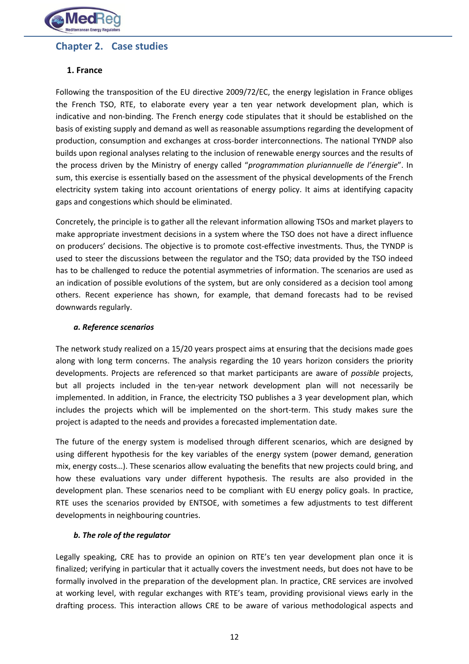

# <span id="page-11-0"></span>**Chapter 2. Case studies**

#### <span id="page-11-1"></span>**1. France**

Following the transposition of the EU directive 2009/72/EC, the energy legislation in France obliges the French TSO, RTE, to elaborate every year a ten year network development plan, which is indicative and non-binding. The French energy code stipulates that it should be established on the basis of existing supply and demand as well as reasonable assumptions regarding the development of production, consumption and exchanges at cross-border interconnections. The national TYNDP also builds upon regional analyses relating to the inclusion of renewable energy sources and the results of the process driven by the Ministry of energy called "*programmation pluriannuelle de l'énergie*". In sum, this exercise is essentially based on the assessment of the physical developments of the French electricity system taking into account orientations of energy policy. It aims at identifying capacity gaps and congestions which should be eliminated.

Concretely, the principle is to gather all the relevant information allowing TSOs and market players to make appropriate investment decisions in a system where the TSO does not have a direct influence on producers' decisions. The objective is to promote cost-effective investments. Thus, the TYNDP is used to steer the discussions between the regulator and the TSO; data provided by the TSO indeed has to be challenged to reduce the potential asymmetries of information. The scenarios are used as an indication of possible evolutions of the system, but are only considered as a decision tool among others. Recent experience has shown, for example, that demand forecasts had to be revised downwards regularly.

#### <span id="page-11-2"></span>*a. Reference scenarios*

The network study realized on a 15/20 years prospect aims at ensuring that the decisions made goes along with long term concerns. The analysis regarding the 10 years horizon considers the priority developments. Projects are referenced so that market participants are aware of *possible* projects, but all projects included in the ten-year network development plan will not necessarily be implemented. In addition, in France, the electricity TSO publishes a 3 year development plan, which includes the projects which will be implemented on the short-term. This study makes sure the project is adapted to the needs and provides a forecasted implementation date.

The future of the energy system is modelised through different scenarios, which are designed by using different hypothesis for the key variables of the energy system (power demand, generation mix, energy costs…). These scenarios allow evaluating the benefits that new projects could bring, and how these evaluations vary under different hypothesis. The results are also provided in the development plan. These scenarios need to be compliant with EU energy policy goals. In practice, RTE uses the scenarios provided by ENTSOE, with sometimes a few adjustments to test different developments in neighbouring countries.

#### <span id="page-11-3"></span>*b. The role of the regulator*

Legally speaking, CRE has to provide an opinion on RTE's ten year development plan once it is finalized; verifying in particular that it actually covers the investment needs, but does not have to be formally involved in the preparation of the development plan. In practice, CRE services are involved at working level, with regular exchanges with RTE's team, providing provisional views early in the drafting process. This interaction allows CRE to be aware of various methodological aspects and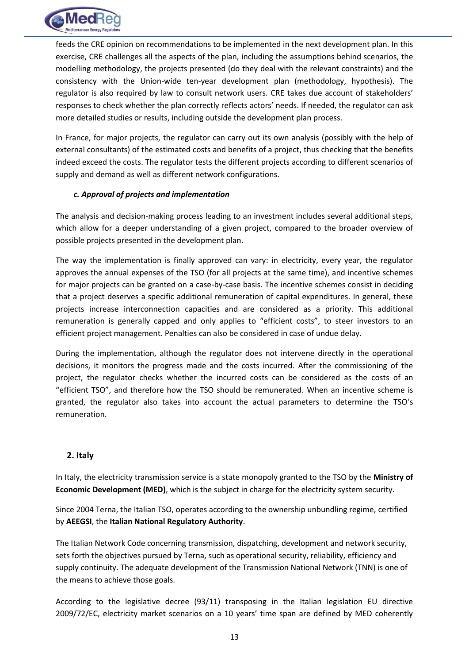

feeds the CRE opinion on recommendations to be implemented in the next development plan. In this exercise, CRE challenges all the aspects of the plan, including the assumptions behind scenarios, the modelling methodology, the projects presented (do they deal with the relevant constraints) and the consistency with the Union-wide ten-year development plan (methodology, hypothesis). The regulator is also required by law to consult network users. CRE takes due account of stakeholders' responses to check whether the plan correctly reflects actors' needs. If needed, the regulator can ask more detailed studies or results, including outside the development plan process.

In France, for major projects, the regulator can carry out its own analysis (possibly with the help of external consultants) of the estimated costs and benefits of a project, thus checking that the benefits indeed exceed the costs. The regulator tests the different projects according to different scenarios of supply and demand as well as different network configurations.

#### <span id="page-12-0"></span>*c. Approval of projects and implementation*

The analysis and decision-making process leading to an investment includes several additional steps, which allow for a deeper understanding of a given project, compared to the broader overview of possible projects presented in the development plan.

The way the implementation is finally approved can vary: in electricity, every year, the regulator approves the annual expenses of the TSO (for all projects at the same time), and incentive schemes for major projects can be granted on a case-by-case basis. The incentive schemes consist in deciding that a project deserves a specific additional remuneration of capital expenditures. In general, these projects increase interconnection capacities and are considered as a priority. This additional remuneration is generally capped and only applies to "efficient costs", to steer investors to an efficient project management. Penalties can also be considered in case of undue delay.

During the implementation, although the regulator does not intervene directly in the operational decisions, it monitors the progress made and the costs incurred. After the commissioning of the project, the regulator checks whether the incurred costs can be considered as the costs of an "efficient TSO", and therefore how the TSO should be remunerated. When an incentive scheme is granted, the regulator also takes into account the actual parameters to determine the TSO's remuneration.

#### <span id="page-12-1"></span>**2. Italy**

In Italy, the electricity transmission service is a state monopoly granted to the TSO by the **Ministry of Economic Development (MED)**, which is the subject in charge for the electricity system security.

Since 2004 Terna, the Italian TSO, operates according to the ownership unbundling regime, certified by **AEEGSI**, the **Italian National Regulatory Authority**.

The Italian Network Code concerning transmission, dispatching, development and network security, sets forth the objectives pursued by Terna, such as operational security, reliability, efficiency and supply continuity. The adequate development of the Transmission National Network (TNN) is one of the means to achieve those goals.

According to the legislative decree (93/11) transposing in the Italian legislation EU directive 2009/72/EC, electricity market scenarios on a 10 years' time span are defined by MED coherently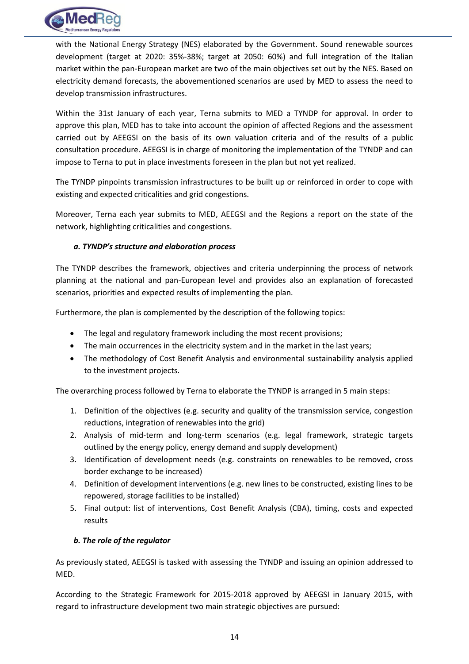

with the National Energy Strategy (NES) elaborated by the Government. Sound renewable sources development (target at 2020: 35%-38%; target at 2050: 60%) and full integration of the Italian market within the pan-European market are two of the main objectives set out by the NES. Based on electricity demand forecasts, the abovementioned scenarios are used by MED to assess the need to develop transmission infrastructures.

Within the 31st January of each year, Terna submits to MED a TYNDP for approval. In order to approve this plan, MED has to take into account the opinion of affected Regions and the assessment carried out by AEEGSI on the basis of its own valuation criteria and of the results of a public consultation procedure. AEEGSI is in charge of monitoring the implementation of the TYNDP and can impose to Terna to put in place investments foreseen in the plan but not yet realized.

The TYNDP pinpoints transmission infrastructures to be built up or reinforced in order to cope with existing and expected criticalities and grid congestions.

Moreover, Terna each year submits to MED, AEEGSI and the Regions a report on the state of the network, highlighting criticalities and congestions.

#### <span id="page-13-0"></span>*a. TYNDP's structure and elaboration process*

The TYNDP describes the framework, objectives and criteria underpinning the process of network planning at the national and pan-European level and provides also an explanation of forecasted scenarios, priorities and expected results of implementing the plan.

Furthermore, the plan is complemented by the description of the following topics:

- The legal and regulatory framework including the most recent provisions;
- The main occurrences in the electricity system and in the market in the last years;
- The methodology of Cost Benefit Analysis and environmental sustainability analysis applied to the investment projects.

The overarching process followed by Terna to elaborate the TYNDP is arranged in 5 main steps:

- 1. Definition of the objectives (e.g. security and quality of the transmission service, congestion reductions, integration of renewables into the grid)
- 2. Analysis of mid-term and long-term scenarios (e.g. legal framework, strategic targets outlined by the energy policy, energy demand and supply development)
- 3. Identification of development needs (e.g. constraints on renewables to be removed, cross border exchange to be increased)
- 4. Definition of development interventions (e.g. new lines to be constructed, existing lines to be repowered, storage facilities to be installed)
- 5. Final output: list of interventions, Cost Benefit Analysis (CBA), timing, costs and expected results

#### <span id="page-13-1"></span>*b. The role of the regulator*

As previously stated, AEEGSI is tasked with assessing the TYNDP and issuing an opinion addressed to MED.

According to the Strategic Framework for 2015-2018 approved by AEEGSI in January 2015, with regard to infrastructure development two main strategic objectives are pursued: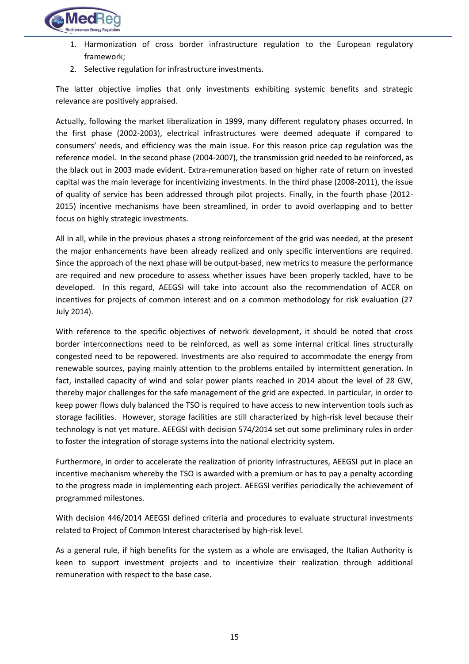

- 1. Harmonization of cross border infrastructure regulation to the European regulatory framework;
- 2. Selective regulation for infrastructure investments.

The latter objective implies that only investments exhibiting systemic benefits and strategic relevance are positively appraised.

Actually, following the market liberalization in 1999, many different regulatory phases occurred. In the first phase (2002-2003), electrical infrastructures were deemed adequate if compared to consumers' needs, and efficiency was the main issue. For this reason price cap regulation was the reference model. In the second phase (2004-2007), the transmission grid needed to be reinforced, as the black out in 2003 made evident. Extra-remuneration based on higher rate of return on invested capital was the main leverage for incentivizing investments. In the third phase (2008-2011), the issue of quality of service has been addressed through pilot projects. Finally, in the fourth phase (2012- 2015) incentive mechanisms have been streamlined, in order to avoid overlapping and to better focus on highly strategic investments.

All in all, while in the previous phases a strong reinforcement of the grid was needed, at the present the major enhancements have been already realized and only specific interventions are required. Since the approach of the next phase will be output-based, new metrics to measure the performance are required and new procedure to assess whether issues have been properly tackled, have to be developed. In this regard, AEEGSI will take into account also the recommendation of ACER on incentives for projects of common interest and on a common methodology for risk evaluation (27 July 2014).

With reference to the specific objectives of network development, it should be noted that cross border interconnections need to be reinforced, as well as some internal critical lines structurally congested need to be repowered. Investments are also required to accommodate the energy from renewable sources, paying mainly attention to the problems entailed by intermittent generation. In fact, installed capacity of wind and solar power plants reached in 2014 about the level of 28 GW, thereby major challenges for the safe management of the grid are expected. In particular, in order to keep power flows duly balanced the TSO is required to have access to new intervention tools such as storage facilities. However, storage facilities are still characterized by high-risk level because their technology is not yet mature. AEEGSI with decision 574/2014 set out some preliminary rules in order to foster the integration of storage systems into the national electricity system.

Furthermore, in order to accelerate the realization of priority infrastructures, AEEGSI put in place an incentive mechanism whereby the TSO is awarded with a premium or has to pay a penalty according to the progress made in implementing each project. AEEGSI verifies periodically the achievement of programmed milestones.

With decision 446/2014 AEEGSI defined criteria and procedures to evaluate structural investments related to Project of Common Interest characterised by high-risk level.

As a general rule, if high benefits for the system as a whole are envisaged, the Italian Authority is keen to support investment projects and to incentivize their realization through additional remuneration with respect to the base case.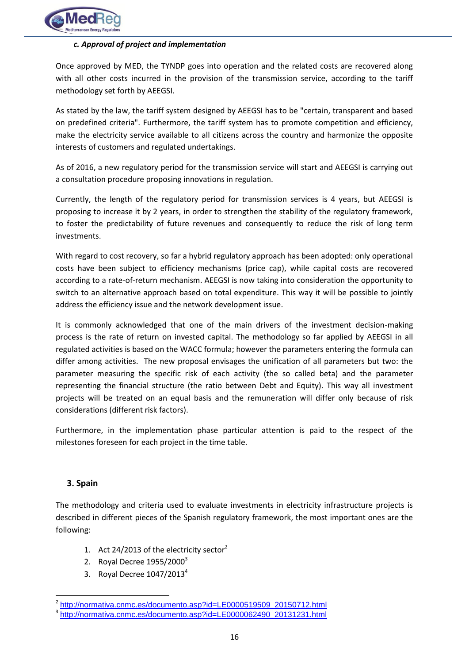

#### <span id="page-15-0"></span>*c. Approval of project and implementation*

Once approved by MED, the TYNDP goes into operation and the related costs are recovered along with all other costs incurred in the provision of the transmission service, according to the tariff methodology set forth by AEEGSI.

As stated by the law, the tariff system designed by AEEGSI has to be "certain, transparent and based on predefined criteria". Furthermore, the tariff system has to promote competition and efficiency, make the electricity service available to all citizens across the country and harmonize the opposite interests of customers and regulated undertakings.

As of 2016, a new regulatory period for the transmission service will start and AEEGSI is carrying out a consultation procedure proposing innovations in regulation.

Currently, the length of the regulatory period for transmission services is 4 years, but AEEGSI is proposing to increase it by 2 years, in order to strengthen the stability of the regulatory framework, to foster the predictability of future revenues and consequently to reduce the risk of long term investments.

With regard to cost recovery, so far a hybrid regulatory approach has been adopted: only operational costs have been subject to efficiency mechanisms (price cap), while capital costs are recovered according to a rate-of-return mechanism. AEEGSI is now taking into consideration the opportunity to switch to an alternative approach based on total expenditure. This way it will be possible to jointly address the efficiency issue and the network development issue.

It is commonly acknowledged that one of the main drivers of the investment decision-making process is the rate of return on invested capital. The methodology so far applied by AEEGSI in all regulated activities is based on the WACC formula; however the parameters entering the formula can differ among activities. The new proposal envisages the unification of all parameters but two: the parameter measuring the specific risk of each activity (the so called beta) and the parameter representing the financial structure (the ratio between Debt and Equity). This way all investment projects will be treated on an equal basis and the remuneration will differ only because of risk considerations (different risk factors).

Furthermore, in the implementation phase particular attention is paid to the respect of the milestones foreseen for each project in the time table.

#### <span id="page-15-1"></span>**3. Spain**

**.** 

The methodology and criteria used to evaluate investments in electricity infrastructure projects is described in different pieces of the Spanish regulatory framework, the most important ones are the following:

- 1. Act 24/2013 of the electricity sector $2$
- 2. Royal Decree  $1955/2000^3$
- 3. Royal Decree  $1047/2013<sup>4</sup>$

<sup>&</sup>lt;sup>2</sup> [http://normativa.cnmc.es/documento.asp?id=LE0000519509\\_20150712.html](http://normativa.cnmc.es/documento.asp?id=LE0000519509_20150712.html)

<sup>&</sup>lt;sup>3</sup>[http://normativa.cnmc.es/documento.asp?id=LE0000062490\\_20131231.html](http://normativa.cnmc.es/documento.asp?id=LE0000062490_20131231.html)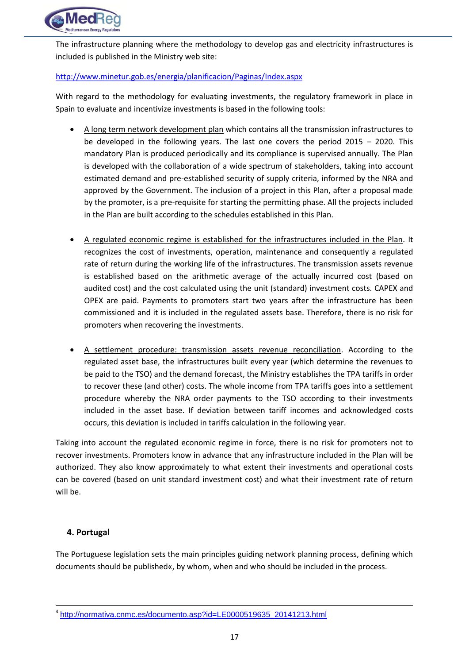

The infrastructure planning where the methodology to develop gas and electricity infrastructures is included is published in the Ministry web site:

#### <http://www.minetur.gob.es/energia/planificacion/Paginas/Index.aspx>

With regard to the methodology for evaluating investments, the regulatory framework in place in Spain to evaluate and incentivize investments is based in the following tools:

- A long term network development plan which contains all the transmission infrastructures to be developed in the following years. The last one covers the period 2015 – 2020. This mandatory Plan is produced periodically and its compliance is supervised annually. The Plan is developed with the collaboration of a wide spectrum of stakeholders, taking into account estimated demand and pre-established security of supply criteria, informed by the NRA and approved by the Government. The inclusion of a project in this Plan, after a proposal made by the promoter, is a pre-requisite for starting the permitting phase. All the projects included in the Plan are built according to the schedules established in this Plan.
- A regulated economic regime is established for the infrastructures included in the Plan. It recognizes the cost of investments, operation, maintenance and consequently a regulated rate of return during the working life of the infrastructures. The transmission assets revenue is established based on the arithmetic average of the actually incurred cost (based on audited cost) and the cost calculated using the unit (standard) investment costs. CAPEX and OPEX are paid. Payments to promoters start two years after the infrastructure has been commissioned and it is included in the regulated assets base. Therefore, there is no risk for promoters when recovering the investments.
- A settlement procedure: transmission assets revenue reconciliation. According to the regulated asset base, the infrastructures built every year (which determine the revenues to be paid to the TSO) and the demand forecast, the Ministry establishes the TPA tariffs in order to recover these (and other) costs. The whole income from TPA tariffs goes into a settlement procedure whereby the NRA order payments to the TSO according to their investments included in the asset base. If deviation between tariff incomes and acknowledged costs occurs, this deviation is included in tariffs calculation in the following year.

Taking into account the regulated economic regime in force, there is no risk for promoters not to recover investments. Promoters know in advance that any infrastructure included in the Plan will be authorized. They also know approximately to what extent their investments and operational costs can be covered (based on unit standard investment cost) and what their investment rate of return will be.

#### <span id="page-16-0"></span>**4. Portugal**

 $\overline{a}$ 

The Portuguese legislation sets the main principles guiding network planning process, defining which documents should be published«, by whom, when and who should be included in the process.

<sup>4</sup> [http://normativa.cnmc.es/documento.asp?id=LE0000519635\\_20141213.html](http://normativa.cnmc.es/documento.asp?id=LE0000519635_20141213.html)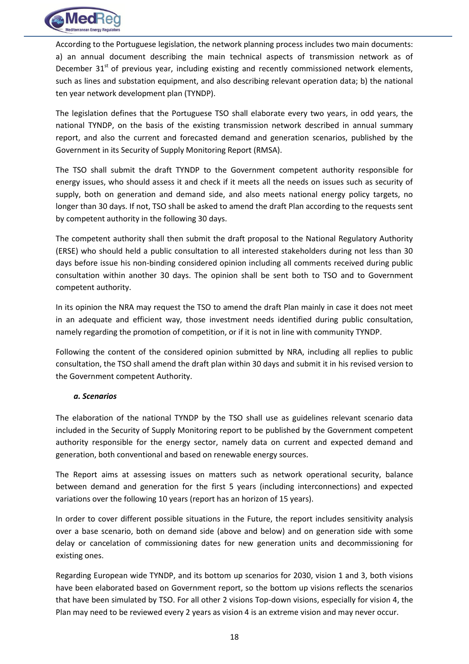

According to the Portuguese legislation, the network planning process includes two main documents: a) an annual document describing the main technical aspects of transmission network as of December  $31<sup>st</sup>$  of previous year, including existing and recently commissioned network elements, such as lines and substation equipment, and also describing relevant operation data; b) the national ten year network development plan (TYNDP).

The legislation defines that the Portuguese TSO shall elaborate every two years, in odd years, the national TYNDP, on the basis of the existing transmission network described in annual summary report, and also the current and forecasted demand and generation scenarios, published by the Government in its Security of Supply Monitoring Report (RMSA).

The TSO shall submit the draft TYNDP to the Government competent authority responsible for energy issues, who should assess it and check if it meets all the needs on issues such as security of supply, both on generation and demand side, and also meets national energy policy targets, no longer than 30 days. If not, TSO shall be asked to amend the draft Plan according to the requests sent by competent authority in the following 30 days.

The competent authority shall then submit the draft proposal to the National Regulatory Authority (ERSE) who should held a public consultation to all interested stakeholders during not less than 30 days before issue his non-binding considered opinion including all comments received during public consultation within another 30 days. The opinion shall be sent both to TSO and to Government competent authority.

In its opinion the NRA may request the TSO to amend the draft Plan mainly in case it does not meet in an adequate and efficient way, those investment needs identified during public consultation, namely regarding the promotion of competition, or if it is not in line with community TYNDP.

Following the content of the considered opinion submitted by NRA, including all replies to public consultation, the TSO shall amend the draft plan within 30 days and submit it in his revised version to the Government competent Authority.

#### <span id="page-17-0"></span>*a. Scenarios*

The elaboration of the national TYNDP by the TSO shall use as guidelines relevant scenario data included in the Security of Supply Monitoring report to be published by the Government competent authority responsible for the energy sector, namely data on current and expected demand and generation, both conventional and based on renewable energy sources.

The Report aims at assessing issues on matters such as network operational security, balance between demand and generation for the first 5 years (including interconnections) and expected variations over the following 10 years (report has an horizon of 15 years).

In order to cover different possible situations in the Future, the report includes sensitivity analysis over a base scenario, both on demand side (above and below) and on generation side with some delay or cancelation of commissioning dates for new generation units and decommissioning for existing ones.

Regarding European wide TYNDP, and its bottom up scenarios for 2030, vision 1 and 3, both visions have been elaborated based on Government report, so the bottom up visions reflects the scenarios that have been simulated by TSO. For all other 2 visions Top-down visions, especially for vision 4, the Plan may need to be reviewed every 2 years as vision 4 is an extreme vision and may never occur.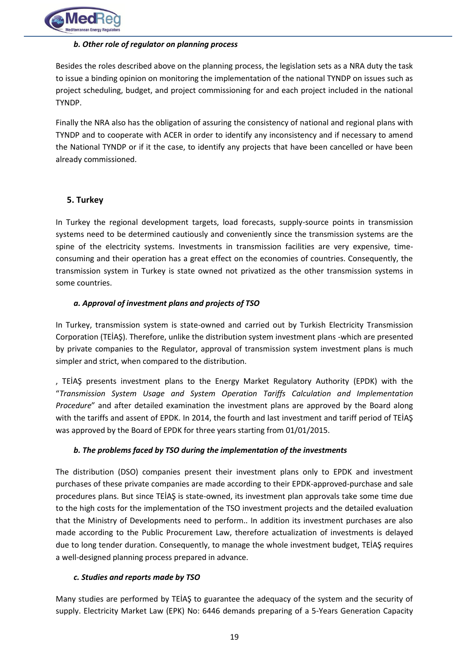

#### <span id="page-18-0"></span>*b. Other role of regulator on planning process*

Besides the roles described above on the planning process, the legislation sets as a NRA duty the task to issue a binding opinion on monitoring the implementation of the national TYNDP on issues such as project scheduling, budget, and project commissioning for and each project included in the national TYNDP.

Finally the NRA also has the obligation of assuring the consistency of national and regional plans with TYNDP and to cooperate with ACER in order to identify any inconsistency and if necessary to amend the National TYNDP or if it the case, to identify any projects that have been cancelled or have been already commissioned.

#### <span id="page-18-1"></span>**5. Turkey**

In Turkey the regional development targets, load forecasts, supply-source points in transmission systems need to be determined cautiously and conveniently since the transmission systems are the spine of the electricity systems. Investments in transmission facilities are very expensive, timeconsuming and their operation has a great effect on the economies of countries. Consequently, the transmission system in Turkey is state owned not privatized as the other transmission systems in some countries.

#### <span id="page-18-2"></span>*a. Approval of investment plans and projects of TSO*

In Turkey, transmission system is state-owned and carried out by Turkish Electricity Transmission Corporation (TEİAŞ). Therefore, unlike the distribution system investment plans -which are presented by private companies to the Regulator, approval of transmission system investment plans is much simpler and strict, when compared to the distribution.

, TEİAŞ presents investment plans to the Energy Market Regulatory Authority (EPDK) with the "*Transmission System Usage and System Operation Tariffs Calculation and Implementation Procedure*" and after detailed examination the investment plans are approved by the Board along with the tariffs and assent of EPDK. In 2014, the fourth and last investment and tariff period of TEİAŞ was approved by the Board of EPDK for three years starting from 01/01/2015.

#### <span id="page-18-3"></span>*b. The problems faced by TSO during the implementation of the investments*

The distribution (DSO) companies present their investment plans only to EPDK and investment purchases of these private companies are made according to their EPDK-approved-purchase and sale procedures plans. But since TEİAŞ is state-owned, its investment plan approvals take some time due to the high costs for the implementation of the TSO investment projects and the detailed evaluation that the Ministry of Developments need to perform.. In addition its investment purchases are also made according to the Public Procurement Law, therefore actualization of investments is delayed due to long tender duration. Consequently, to manage the whole investment budget, TEİAŞ requires a well-designed planning process prepared in advance.

#### <span id="page-18-4"></span>*c. Studies and reports made by TSO*

Many studies are performed by TEİAŞ to guarantee the adequacy of the system and the security of supply. Electricity Market Law (EPK) No: 6446 demands preparing of a 5-Years Generation Capacity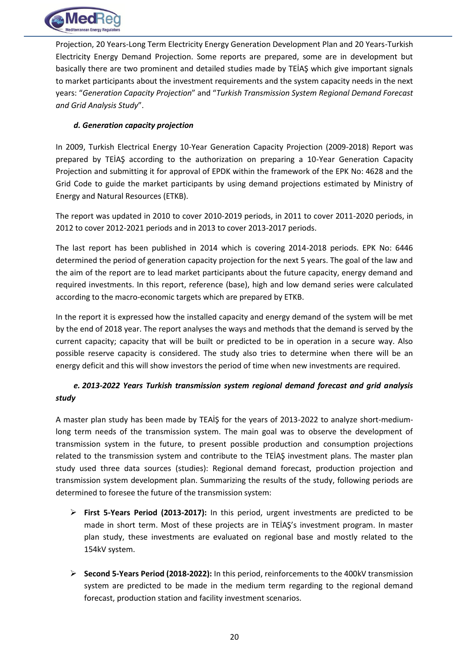

Projection, 20 Years-Long Term Electricity Energy Generation Development Plan and 20 Years-Turkish Electricity Energy Demand Projection. Some reports are prepared, some are in development but basically there are two prominent and detailed studies made by TEİAŞ which give important signals to market participants about the investment requirements and the system capacity needs in the next years: "*Generation Capacity Projection*" and "*Turkish Transmission System Regional Demand Forecast and Grid Analysis Study*".

#### <span id="page-19-0"></span>*d. Generation capacity projection*

In 2009, Turkish Electrical Energy 10-Year Generation Capacity Projection (2009-2018) Report was prepared by TEİAŞ according to the authorization on preparing a 10-Year Generation Capacity Projection and submitting it for approval of EPDK within the framework of the EPK No: 4628 and the Grid Code to guide the market participants by using demand projections estimated by Ministry of Energy and Natural Resources (ETKB).

The report was updated in 2010 to cover 2010-2019 periods, in 2011 to cover 2011-2020 periods, in 2012 to cover 2012-2021 periods and in 2013 to cover 2013-2017 periods.

The last report has been published in 2014 which is covering 2014-2018 periods. EPK No: 6446 determined the period of generation capacity projection for the next 5 years. The goal of the law and the aim of the report are to lead market participants about the future capacity, energy demand and required investments. In this report, reference (base), high and low demand series were calculated according to the macro-economic targets which are prepared by ETKB.

In the report it is expressed how the installed capacity and energy demand of the system will be met by the end of 2018 year. The report analyses the ways and methods that the demand is served by the current capacity; capacity that will be built or predicted to be in operation in a secure way. Also possible reserve capacity is considered. The study also tries to determine when there will be an energy deficit and this will show investors the period of time when new investments are required.

### <span id="page-19-1"></span>*e. 2013-2022 Years Turkish transmission system regional demand forecast and grid analysis study*

A master plan study has been made by TEAİŞ for the years of 2013-2022 to analyze short-mediumlong term needs of the transmission system. The main goal was to observe the development of transmission system in the future, to present possible production and consumption projections related to the transmission system and contribute to the TEİAŞ investment plans. The master plan study used three data sources (studies): Regional demand forecast, production projection and transmission system development plan. Summarizing the results of the study, following periods are determined to foresee the future of the transmission system:

- **First 5-Years Period (2013-2017):** In this period, urgent investments are predicted to be made in short term. Most of these projects are in TEİAŞ's investment program. In master plan study, these investments are evaluated on regional base and mostly related to the 154kV system.
- **Second 5-Years Period (2018-2022):** In this period, reinforcements to the 400kV transmission system are predicted to be made in the medium term regarding to the regional demand forecast, production station and facility investment scenarios.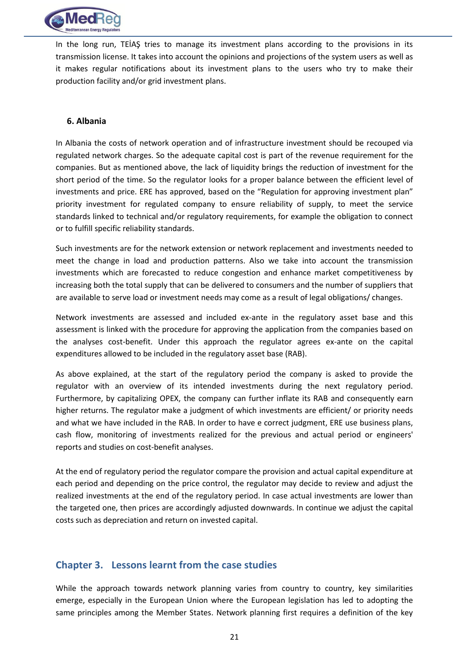

In the long run, TEİAŞ tries to manage its investment plans according to the provisions in its transmission license. It takes into account the opinions and projections of the system users as well as it makes regular notifications about its investment plans to the users who try to make their production facility and/or grid investment plans.

#### <span id="page-20-0"></span>**6. Albania**

In Albania the costs of network operation and of infrastructure investment should be recouped via regulated network charges. So the adequate capital cost is part of the revenue requirement for the companies. But as mentioned above, the lack of liquidity brings the reduction of investment for the short period of the time. So the regulator looks for a proper balance between the efficient level of investments and price. ERE has approved, based on the "Regulation for approving investment plan" priority investment for regulated company to ensure reliability of supply, to meet the service standards linked to technical and/or regulatory requirements, for example the obligation to connect or to fulfill specific reliability standards.

Such investments are for the network extension or network replacement and investments needed to meet the change in load and production patterns. Also we take into account the transmission investments which are forecasted to reduce congestion and enhance market competitiveness by increasing both the total supply that can be delivered to consumers and the number of suppliers that are available to serve load or investment needs may come as a result of legal obligations/ changes.

Network investments are assessed and included ex-ante in the regulatory asset base and this assessment is linked with the procedure for approving the application from the companies based on the analyses cost-benefit. Under this approach the regulator agrees ex-ante on the capital expenditures allowed to be included in the regulatory asset base (RAB).

As above explained, at the start of the regulatory period the company is asked to provide the regulator with an overview of its intended investments during the next regulatory period. Furthermore, by capitalizing OPEX, the company can further inflate its RAB and consequently earn higher returns. The regulator make a judgment of which investments are efficient/ or priority needs and what we have included in the RAB. In order to have e correct judgment, ERE use business plans, cash flow, monitoring of investments realized for the previous and actual period or engineers' reports and studies on cost-benefit analyses.

At the end of regulatory period the regulator compare the provision and actual capital expenditure at each period and depending on the price control, the regulator may decide to review and adjust the realized investments at the end of the regulatory period. In case actual investments are lower than the targeted one, then prices are accordingly adjusted downwards. In continue we adjust the capital costs such as depreciation and return on invested capital.

#### <span id="page-20-1"></span>**Chapter 3. Lessons learnt from the case studies**

While the approach towards network planning varies from country to country, key similarities emerge, especially in the European Union where the European legislation has led to adopting the same principles among the Member States. Network planning first requires a definition of the key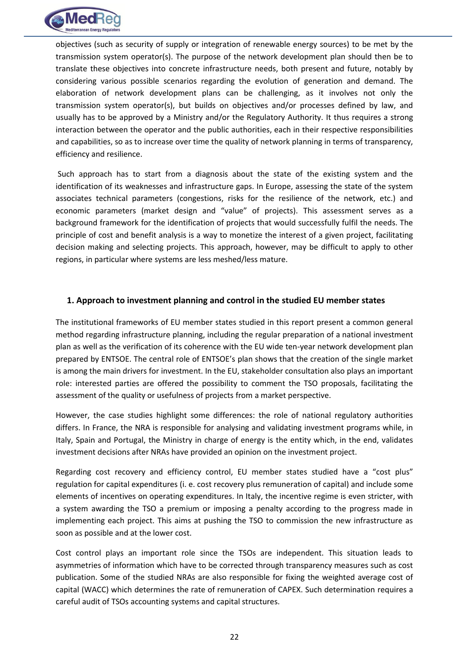

objectives (such as security of supply or integration of renewable energy sources) to be met by the transmission system operator(s). The purpose of the network development plan should then be to translate these objectives into concrete infrastructure needs, both present and future, notably by considering various possible scenarios regarding the evolution of generation and demand. The elaboration of network development plans can be challenging, as it involves not only the transmission system operator(s), but builds on objectives and/or processes defined by law, and usually has to be approved by a Ministry and/or the Regulatory Authority. It thus requires a strong interaction between the operator and the public authorities, each in their respective responsibilities and capabilities, so as to increase over time the quality of network planning in terms of transparency, efficiency and resilience.

Such approach has to start from a diagnosis about the state of the existing system and the identification of its weaknesses and infrastructure gaps. In Europe, assessing the state of the system associates technical parameters (congestions, risks for the resilience of the network, etc.) and economic parameters (market design and "value" of projects). This assessment serves as a background framework for the identification of projects that would successfully fulfil the needs. The principle of cost and benefit analysis is a way to monetize the interest of a given project, facilitating decision making and selecting projects. This approach, however, may be difficult to apply to other regions, in particular where systems are less meshed/less mature.

#### <span id="page-21-0"></span>**1. Approach to investment planning and control in the studied EU member states**

The institutional frameworks of EU member states studied in this report present a common general method regarding infrastructure planning, including the regular preparation of a national investment plan as well as the verification of its coherence with the EU wide ten-year network development plan prepared by ENTSOE. The central role of ENTSOE's plan shows that the creation of the single market is among the main drivers for investment. In the EU, stakeholder consultation also plays an important role: interested parties are offered the possibility to comment the TSO proposals, facilitating the assessment of the quality or usefulness of projects from a market perspective.

However, the case studies highlight some differences: the role of national regulatory authorities differs. In France, the NRA is responsible for analysing and validating investment programs while, in Italy, Spain and Portugal, the Ministry in charge of energy is the entity which, in the end, validates investment decisions after NRAs have provided an opinion on the investment project.

Regarding cost recovery and efficiency control, EU member states studied have a "cost plus" regulation for capital expenditures (i. e. cost recovery plus remuneration of capital) and include some elements of incentives on operating expenditures. In Italy, the incentive regime is even stricter, with a system awarding the TSO a premium or imposing a penalty according to the progress made in implementing each project. This aims at pushing the TSO to commission the new infrastructure as soon as possible and at the lower cost.

Cost control plays an important role since the TSOs are independent. This situation leads to asymmetries of information which have to be corrected through transparency measures such as cost publication. Some of the studied NRAs are also responsible for fixing the weighted average cost of capital (WACC) which determines the rate of remuneration of CAPEX. Such determination requires a careful audit of TSOs accounting systems and capital structures.